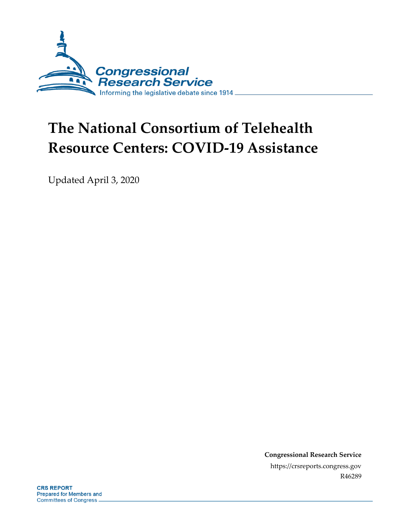

# **The National Consortium of Telehealth Resource Centers: COVID-19 Assistance**

Updated April 3, 2020

**Congressional Research Service** https://crsreports.congress.gov R46289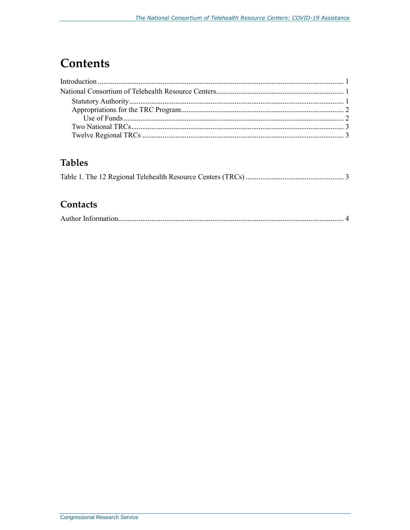### **Contents**

### **Tables**

#### Contacts

|--|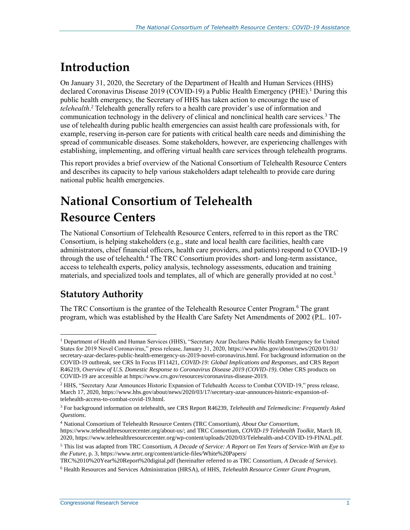## <span id="page-2-0"></span>**Introduction**

On January 31, 2020, the Secretary of the Department of Health and Human Services (HHS) declared Coronavirus Disease 2019 (COVID-19) a Public Health Emergency (PHE). <sup>1</sup> During this public health emergency, the Secretary of HHS has taken action to encourage the use of *telehealth*. <sup>2</sup> Telehealth generally refers to a health care provider's use of information and communication technology in the delivery of clinical and nonclinical health care services.<sup>3</sup> The use of telehealth during public health emergencies can assist health care professionals with, for example, reserving in-person care for patients with critical health care needs and diminishing the spread of communicable diseases. Some stakeholders, however, are experiencing challenges with establishing, implementing, and offering virtual health care services through telehealth programs.

This report provides a brief overview of the National Consortium of Telehealth Resource Centers and describes its capacity to help various stakeholders adapt telehealth to provide care during national public health emergencies.

# <span id="page-2-1"></span>**National Consortium of Telehealth Resource Centers**

The National Consortium of Telehealth Resource Centers, referred to in this report as the TRC Consortium, is helping stakeholders (e.g., state and local health care facilities, health care administrators, chief financial officers, health care providers, and patients) respond to COVID-19 through the use of telehealth.<sup>4</sup> The TRC Consortium provides short- and long-term assistance, access to telehealth experts, policy analysis, technology assessments, education and training materials, and specialized tools and templates, all of which are generally provided at no cost. 5

#### <span id="page-2-2"></span>**Statutory Authority**

 $\overline{a}$ 

The TRC Consortium is the grantee of the Telehealth Resource Center Program.<sup>6</sup> The grant program, which was established by the Health Care Safety Net Amendments of 2002 (P.L. 107-

<sup>4</sup> National Consortium of Telehealth Resource Centers (TRC Consortium), *About Our Consortium*, https://www.telehealthresourcecenter.org/about-us/; and TRC Consortium, *COVID-19 Telehealth Toolkit*, March 18, 2020, https://www.telehealthresourcecenter.org/wp-content/uploads/2020/03/Telehealth-and-COVID-19-FINAL.pdf.

<sup>1</sup> Department of Health and Human Services (HHS), "Secretary Azar Declares Public Health Emergency for United States for 2019 Novel Coronavirus," press release, January 31, 2020, https://www.hhs.gov/about/news/2020/01/31/ secretary-azar-declares-public-health-emergency-us-2019-novel-coronavirus.html. For background information on the COVID-19 outbreak, see CRS In Focus IF11421, *COVID-19: Global Implications and Responses*, and CRS Report R46219, *Overview of U.S. Domestic Response to Coronavirus Disease 2019 (COVID-19)*. Other CRS products on COVID-19 are accessible at https://www.crs.gov/resources/coronavirus-disease-2019.

<sup>2</sup> HHS, "Secretary Azar Announces Historic Expansion of Telehealth Access to Combat COVID-19," press release, March 17, 2020, https://www.hhs.gov/about/news/2020/03/17/secretary-azar-announces-historic-expansion-oftelehealth-access-to-combat-covid-19.html.

<sup>3</sup> For background information on telehealth, see CRS Report R46239, *Telehealth and Telemedicine: Frequently Asked Questions*.

<sup>5</sup> This list was adapted from TRC Consortium, *A Decade of Service: A Report on Ten Years of Service-With an Eye to the Future*, p. 3, https://www.nrtrc.org/content/article-files/White%20Papers/

TRC%2010%20Year%20Report%20digital.pdf (hereinafter referred to as TRC Consortium, *A Decade of Service*).

<sup>6</sup> Health Resources and Services Administration (HRSA), of HHS, *Telehealth Resource Center Grant Program*,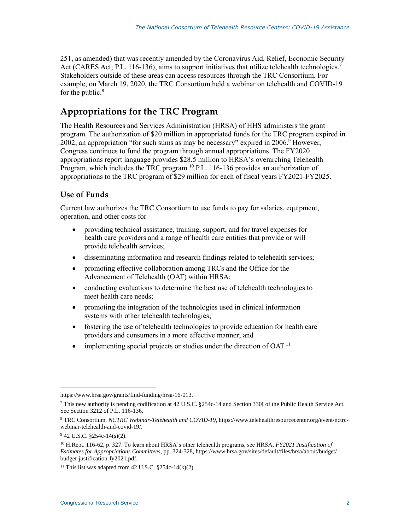251, as amended) that was recently amended by the Coronavirus Aid, Relief, Economic Security Act (CARES Act; P.L. 116-136), aims to support initiatives that utilize telehealth technologies.<sup>7</sup> Stakeholders outside of these areas can access resources through the TRC Consortium. For example, on March 19, 2020, the TRC Consortium held a webinar on telehealth and COVID-19 for the public. $8$ 

#### <span id="page-3-0"></span>**Appropriations for the TRC Program**

The Health Resources and Services Administration (HRSA) of HHS administers the grant program. The authorization of \$20 million in appropriated funds for the TRC program expired in 2002; an appropriation "for such sums as may be necessary" expired in  $2006$ .<sup>9</sup> However, Congress continues to fund the program through annual appropriations. The FY2020 appropriations report language provides \$28.5 million to HRSA's overarching Telehealth Program, which includes the TRC program.<sup>10</sup> P.L. 116-136 provides an authorization of appropriations to the TRC program of \$29 million for each of fiscal years FY2021-FY2025.

#### <span id="page-3-1"></span>**Use of Funds**

Current law authorizes the TRC Consortium to use funds to pay for salaries, equipment, operation, and other costs for

- providing technical assistance, training, support, and for travel expenses for health care providers and a range of health care entities that provide or will provide telehealth services;
- disseminating information and research findings related to telehealth services;
- promoting effective collaboration among TRCs and the Office for the Advancement of Telehealth (OAT) within HRSA;
- conducting evaluations to determine the best use of telehealth technologies to meet health care needs;
- promoting the integration of the technologies used in clinical information systems with other telehealth technologies;
- fostering the use of telehealth technologies to provide education for health care providers and consumers in a more effective manner; and
- $\bullet$  implementing special projects or studies under the direction of OAT.<sup>11</sup>

 $\overline{a}$ 

https://www.hrsa.gov/grants/find-funding/hrsa-16-013.

 $^7$  This new authority is pending codification at 42 U.S.C. §254c-14 and Section 330I of the Public Health Service Act. See Section 3212 of P.L. 116-136.

<sup>8</sup> TRC Consortium, *NCTRC Webinar-Telehealth and COVID-19*, https://www.telehealthresourcecenter.org/event/nctrcwebinar-telehealth-and-covid-19/.

 $942$  U.S.C. §254c-14(s)(2).

<sup>10</sup> H.Rept. 116-62, p. 327. To learn about HRSA's other telehealth programs, see HRSA, *FY2021 Justification of Estimates for Appropriations Committees*, pp. 324-328, https://www.hrsa.gov/sites/default/files/hrsa/about/budget/ budget-justification-fy2021.pdf.

<sup>&</sup>lt;sup>11</sup> This list was adapted from 42 U.S.C.  $§254c-14(k)(2)$ .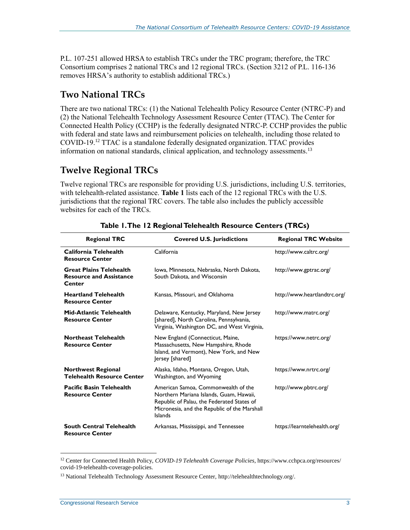P.L. 107-251 allowed HRSA to establish TRCs under the TRC program; therefore, the TRC Consortium comprises 2 national TRCs and 12 regional TRCs. (Section 3212 of P.L. 116-136 removes HRSA's authority to establish additional TRCs.)

### <span id="page-4-0"></span>**Two National TRCs**

There are two national TRCs: (1) the National Telehealth Policy Resource Center (NTRC-P) and (2) the National Telehealth Technology Assessment Resource Center (TTAC). The Center for Connected Health Policy (CCHP) is the federally designated NTRC-P. CCHP provides the public with federal and state laws and reimbursement policies on telehealth, including those related to COVID-19.<sup>12</sup> TTAC is a standalone federally designated organization. TTAC provides information on national standards, clinical application, and technology assessments.<sup>13</sup>

#### <span id="page-4-1"></span>**Twelve Regional TRCs**

Twelve regional TRCs are responsible for providing U.S. jurisdictions, including U.S. territories, with telehealth-related assistance. **[Table 1](#page-4-2)** lists each of the 12 regional TRCs with the U.S. jurisdictions that the regional TRC covers. The table also includes the publicly accessible websites for each of the TRCs.

<span id="page-4-2"></span>

| <b>Regional TRC</b>                                                               | <b>Covered U.S. Jurisdictions</b>                                                                                                                                                              |                              |
|-----------------------------------------------------------------------------------|------------------------------------------------------------------------------------------------------------------------------------------------------------------------------------------------|------------------------------|
| California Telehealth<br><b>Resource Center</b>                                   | California                                                                                                                                                                                     | http://www.caltrc.org/       |
| <b>Great Plains Telehealth</b><br><b>Resource and Assistance</b><br><b>Center</b> | Iowa, Minnesota, Nebraska, North Dakota,<br>South Dakota, and Wisconsin                                                                                                                        | http://www.gptrac.org/       |
| <b>Heartland Telehealth</b><br><b>Resource Center</b>                             | Kansas, Missouri, and Oklahoma                                                                                                                                                                 | http://www.heartlandtrc.org/ |
| <b>Mid-Atlantic Telehealth</b><br><b>Resource Center</b>                          | Delaware, Kentucky, Maryland, New Jersey<br>[shared], North Carolina, Pennsylvania,<br>Virginia, Washington DC, and West Virginia,                                                             | http://www.matrc.org/        |
| <b>Northeast Telehealth</b><br><b>Resource Center</b>                             | New England (Connecticut, Maine,<br>Massachusetts, New Hampshire, Rhode<br>Island, and Vermont), New York, and New<br>Jersey [shared]                                                          | https://www.netrc.org/       |
| <b>Northwest Regional</b><br><b>Telehealth Resource Center</b>                    | Alaska, Idaho, Montana, Oregon, Utah,<br>Washington, and Wyoming                                                                                                                               | https://www.nrtrc.org/       |
| <b>Pacific Basin Telehealth</b><br><b>Resource Center</b>                         | American Samoa, Commonwealth of the<br>Northern Mariana Islands, Guam, Hawaii,<br>Republic of Palau, the Federated States of<br>Micronesia, and the Republic of the Marshall<br><b>Islands</b> | http://www.pbtrc.org/        |
| <b>South Central Telehealth</b><br><b>Resource Center</b>                         | Arkansas, Mississippi, and Tennessee                                                                                                                                                           | https://learntelehealth.org/ |

|  | Table 1. The 12 Regional Telehealth Resource Centers (TRCs) |  |  |
|--|-------------------------------------------------------------|--|--|

 $\overline{a}$ 

<sup>12</sup> Center for Connected Health Policy, *COVID-19 Telehealth Coverage Policies*, https://www.cchpca.org/resources/ covid-19-telehealth-coverage-policies.

<sup>13</sup> National Telehealth Technology Assessment Resource Center, http://telehealthtechnology.org/.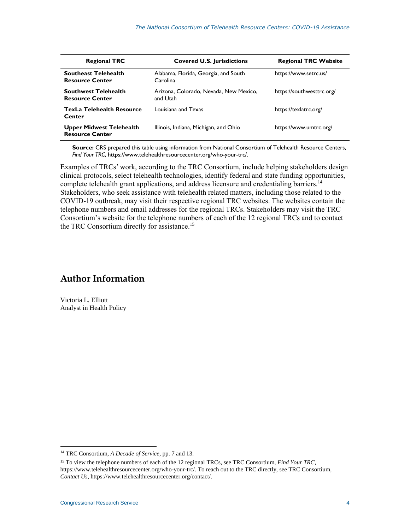<span id="page-5-0"></span>

| <b>Regional TRC</b>                                       | <b>Covered U.S. Jurisdictions</b>                  | <b>Regional TRC Website</b> |
|-----------------------------------------------------------|----------------------------------------------------|-----------------------------|
| <b>Southeast Telehealth</b><br><b>Resource Center</b>     | Alabama, Florida, Georgia, and South<br>Carolina   | https://www.setrc.us/       |
| <b>Southwest Telehealth</b><br><b>Resource Center</b>     | Arizona, Colorado, Nevada, New Mexico,<br>and Utah | https://southwesttrc.org/   |
| <b>TexLa Telehealth Resource</b><br>Center                | Louisiana and Texas                                | https://texlatrc.org/       |
| <b>Upper Midwest Telehealth</b><br><b>Resource Center</b> | Illinois, Indiana, Michigan, and Ohio              | https://www.umtrc.org/      |

**Source:** CRS prepared this table using information from National Consortium of Telehealth Resource Centers, *Find Your TRC*, https://www.telehealthresourcecenter.org/who-your-trc/.

Examples of TRCs' work, according to the TRC Consortium, include helping stakeholders design clinical protocols, select telehealth technologies, identify federal and state funding opportunities, complete telehealth grant applications, and address licensure and credentialing barriers.<sup>14</sup> Stakeholders, who seek assistance with telehealth related matters, including those related to the COVID-19 outbreak, may visit their respective regional TRC websites. The websites contain the telephone numbers and email addresses for the regional TRCs. Stakeholders may visit the TRC Consortium's website for the telephone numbers of each of the 12 regional TRCs and to contact the TRC Consortium directly for assistance.<sup>15</sup>

#### **Author Information**

Victoria L. Elliott Analyst in Health Policy

 $\overline{a}$ 

<sup>14</sup> TRC Consortium, *A Decade of Service*, pp. 7 and 13.

<sup>15</sup> To view the telephone numbers of each of the 12 regional TRCs, see TRC Consortium, *Find Your TRC*, https://www.telehealthresourcecenter.org/who-your-trc/. To reach out to the TRC directly, see TRC Consortium, *Contact Us*, https://www.telehealthresourcecenter.org/contact/.